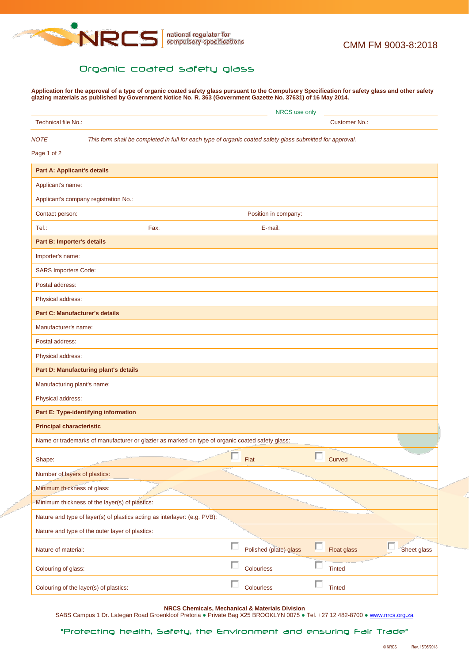

## Organic coated safety glass

**Application for the approval of a type of organic coated safety glass pursuant to the Compulsory Specification for safety glass and other safety glazing materials as published by Government Notice No. R. 363 (Government Gazette No. 37631) of 16 May 2014.**

|                                    |                                                                                                           | NRCS use only        |                        |   |               |             |  |  |
|------------------------------------|-----------------------------------------------------------------------------------------------------------|----------------------|------------------------|---|---------------|-------------|--|--|
| Technical file No.:                |                                                                                                           | <b>Customer No.:</b> |                        |   |               |             |  |  |
| <b>NOTE</b>                        | This form shall be completed in full for each type of organic coated safety glass submitted for approval. |                      |                        |   |               |             |  |  |
| Page 1 of 2                        |                                                                                                           |                      |                        |   |               |             |  |  |
| <b>Part A: Applicant's details</b> |                                                                                                           |                      |                        |   |               |             |  |  |
| Applicant's name:                  |                                                                                                           |                      |                        |   |               |             |  |  |
|                                    | Applicant's company registration No.:                                                                     |                      |                        |   |               |             |  |  |
| Contact person:                    |                                                                                                           |                      | Position in company:   |   |               |             |  |  |
| Tel.:                              | Fax:                                                                                                      |                      | E-mail:                |   |               |             |  |  |
| Part B: Importer's details         |                                                                                                           |                      |                        |   |               |             |  |  |
| Importer's name:                   |                                                                                                           |                      |                        |   |               |             |  |  |
| <b>SARS Importers Code:</b>        |                                                                                                           |                      |                        |   |               |             |  |  |
| Postal address:                    |                                                                                                           |                      |                        |   |               |             |  |  |
| Physical address:                  |                                                                                                           |                      |                        |   |               |             |  |  |
|                                    | <b>Part C: Manufacturer's details</b>                                                                     |                      |                        |   |               |             |  |  |
| Manufacturer's name:               |                                                                                                           |                      |                        |   |               |             |  |  |
| Postal address:                    |                                                                                                           |                      |                        |   |               |             |  |  |
| Physical address:                  |                                                                                                           |                      |                        |   |               |             |  |  |
|                                    | Part D: Manufacturing plant's details                                                                     |                      |                        |   |               |             |  |  |
| Manufacturing plant's name:        |                                                                                                           |                      |                        |   |               |             |  |  |
| Physical address:                  |                                                                                                           |                      |                        |   |               |             |  |  |
|                                    | Part E: Type-identifying information                                                                      |                      |                        |   |               |             |  |  |
| <b>Principal characteristic</b>    |                                                                                                           |                      |                        |   |               |             |  |  |
|                                    | Name or trademarks of manufacturer or glazier as marked on type of organic coated safety glass:           |                      |                        |   |               |             |  |  |
| Shape:                             |                                                                                                           |                      | Flat                   |   | Curved        |             |  |  |
| Number of layers of plastics:      |                                                                                                           |                      |                        |   |               |             |  |  |
| Minimum thickness of glass:        |                                                                                                           |                      |                        |   |               |             |  |  |
|                                    | Minimum thickness of the layer(s) of plastics:                                                            |                      |                        |   |               |             |  |  |
|                                    | Nature and type of layer(s) of plastics acting as interlayer: (e.g. PVB):                                 |                      |                        |   |               |             |  |  |
|                                    | Nature and type of the outer layer of plastics:                                                           |                      |                        |   |               |             |  |  |
| Nature of material:                |                                                                                                           | П                    | Polished (plate) glass | о | Float glass   | Sheet glass |  |  |
| Colouring of glass:                |                                                                                                           |                      | Colourless             | П | <b>Tinted</b> |             |  |  |
|                                    | Colouring of the layer(s) of plastics:                                                                    |                      | Colourless             | п | <b>Tinted</b> |             |  |  |

**NRCS Chemicals, Mechanical & Materials Division**

SABS Campus 1 Dr. Lategan Road Groenkloof Pretoria · Private Bag X25 BROOKLYN 0075 · Tel. +27 12 482-8700 · [www.nrcs.org.za](http://www.nrcs.org.za/)

"Protecting health, Safety, the Environment and ensuring Fair Trade"